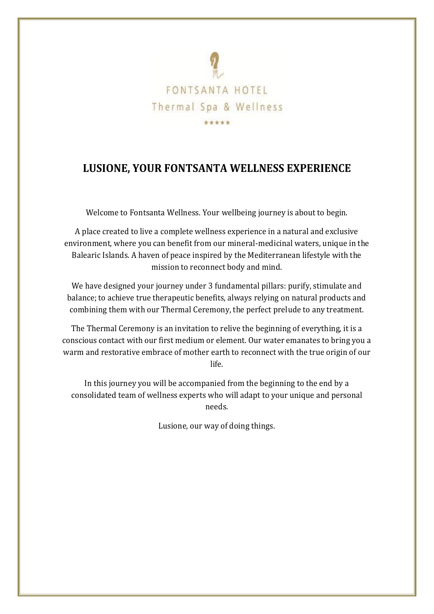

# **LUSIONE, YOUR FONTSANTA WELLNESS EXPERIENCE**

Welcome to Fontsanta Wellness. Your wellbeing journey is about to begin.

A place created to live a complete wellness experience in a natural and exclusive environment, where you can benefit from our mineral-medicinal waters, unique in the Balearic Islands. A haven of peace inspired by the Mediterranean lifestyle with the mission to reconnect body and mind.

We have designed your journey under 3 fundamental pillars: purify, stimulate and balance; to achieve true therapeutic benefits, always relying on natural products and combining them with our Thermal Ceremony, the perfect prelude to any treatment.

The Thermal Ceremony is an invitation to relive the beginning of everything, it is a conscious contact with our first medium or element. Our water emanates to bring you a warm and restorative embrace of mother earth to reconnect with the true origin of our life.

In this journey you will be accompanied from the beginning to the end by a consolidated team of wellness experts who will adapt to your unique and personal needs.

Lusione, our way of doing things.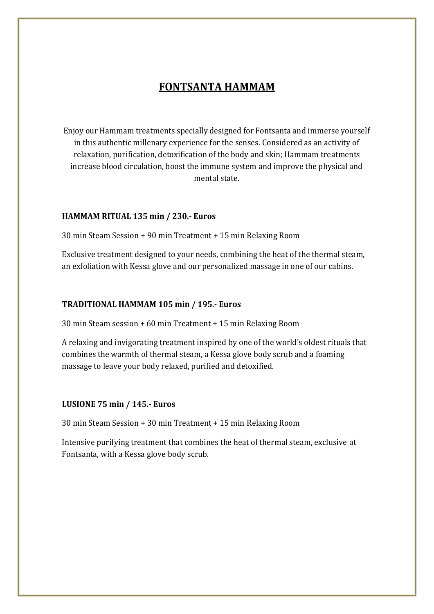## **FONTSANTA HAMMAM**

Enjoy our Hammam treatments specially designed for Fontsanta and immerse yourself in this authentic millenary experience for the senses. Considered as an activity of relaxation, purification, detoxification of the body and skin; Hammam treatments increase blood circulation, boost the immune system and improve the physical and mental state.

#### **HAMMAM RITUAL 135 min / 230.- Euros**

30 min Steam Session + 90 min Treatment + 15 min Relaxing Room

Exclusive treatment designed to your needs, combining the heat of the thermal steam, an exfoliation with Kessa glove and our personalized massage in one of our cabins.

#### **TRADITIONAL HAMMAM 105 min / 195.- Euros**

30 min Steam session + 60 min Treatment + 15 min Relaxing Room

A relaxing and invigorating treatment inspired by one of the world's oldest rituals that combines the warmth of thermal steam, a Kessa glove body scrub and a foaming massage to leave your body relaxed, purified and detoxified.

### **LUSIONE 75 min / 145.- Euros**

30 min Steam Session + 30 min Treatment + 15 min Relaxing Room

Intensive purifying treatment that combines the heat of thermal steam, exclusive at Fontsanta, with a Kessa glove body scrub.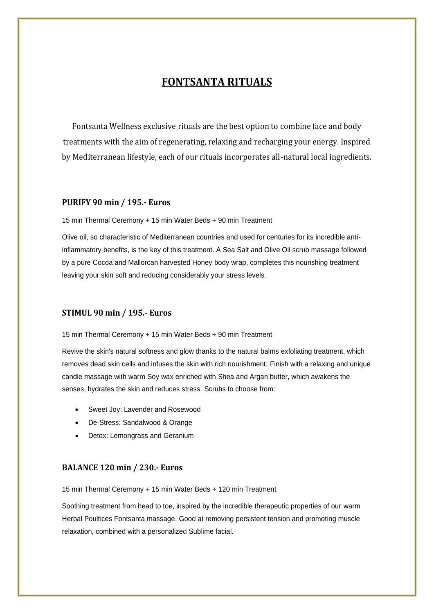# **FONTSANTA RITUALS**

Fontsanta Wellness exclusive rituals are the best option to combine face and body treatments with the aim of regenerating, relaxing and recharging your energy. Inspired by Mediterranean lifestyle, each of our rituals incorporates all-natural local ingredients.

#### **PURIFY 90 min / 195.- Euros**

15 min Thermal Ceremony + 15 min Water Beds + 90 min Treatment

Olive oil, so characteristic of Mediterranean countries and used for centuries for its incredible antiinflammatory benefits, is the key of this treatment. A Sea Salt and Olive Oil scrub massage followed by a pure Cocoa and Mallorcan harvested Honey body wrap, completes this nourishing treatment leaving your skin soft and reducing considerably your stress levels.

#### **STIMUL 90 min / 195.- Euros**

15 min Thermal Ceremony + 15 min Water Beds + 90 min Treatment

Revive the skin's natural softness and glow thanks to the natural balms exfoliating treatment, which removes dead skin cells and infuses the skin with rich nourishment. Finish with a relaxing and unique candle massage with warm Soy wax enriched with Shea and Argan butter, which awakens the senses, hydrates the skin and reduces stress. Scrubs to choose from:

- Sweet Joy: Lavender and Rosewood
- De-Stress: Sandalwood & Orange
- Detox: Lemongrass and Geranium

#### **BALANCE 120 min / 230.- Euros**

15 min Thermal Ceremony + 15 min Water Beds + 120 min Treatment

Soothing treatment from head to toe, inspired by the incredible therapeutic properties of our warm Herbal Poultices Fontsanta massage. Good at removing persistent tension and promoting muscle relaxation, combined with a personalized Sublime facial.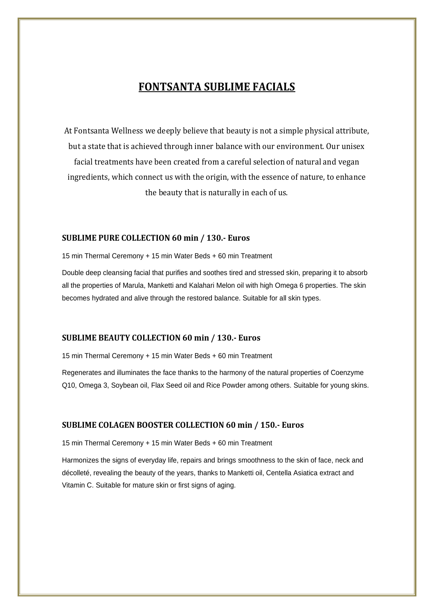## **FONTSANTA SUBLIME FACIALS**

At Fontsanta Wellness we deeply believe that beauty is not a simple physical attribute, but a state that is achieved through inner balance with our environment. Our unisex facial treatments have been created from a careful selection of natural and vegan ingredients, which connect us with the origin, with the essence of nature, to enhance the beauty that is naturally in each of us.

#### **SUBLIME PURE COLLECTION 60 min / 130.- Euros**

15 min Thermal Ceremony + 15 min Water Beds + 60 min Treatment

Double deep cleansing facial that purifies and soothes tired and stressed skin, preparing it to absorb all the properties of Marula, Manketti and Kalahari Melon oil with high Omega 6 properties. The skin becomes hydrated and alive through the restored balance. Suitable for all skin types.

#### **SUBLIME BEAUTY COLLECTION 60 min / 130.- Euros**

15 min Thermal Ceremony + 15 min Water Beds + 60 min Treatment

Regenerates and illuminates the face thanks to the harmony of the natural properties of Coenzyme Q10, Omega 3, Soybean oil, Flax Seed oil and Rice Powder among others. Suitable for young skins.

#### **SUBLIME COLAGEN BOOSTER COLLECTION 60 min / 150.- Euros**

15 min Thermal Ceremony + 15 min Water Beds + 60 min Treatment

Harmonizes the signs of everyday life, repairs and brings smoothness to the skin of face, neck and décolleté, revealing the beauty of the years, thanks to Manketti oil, Centella Asiatica extract and Vitamin C. Suitable for mature skin or first signs of aging.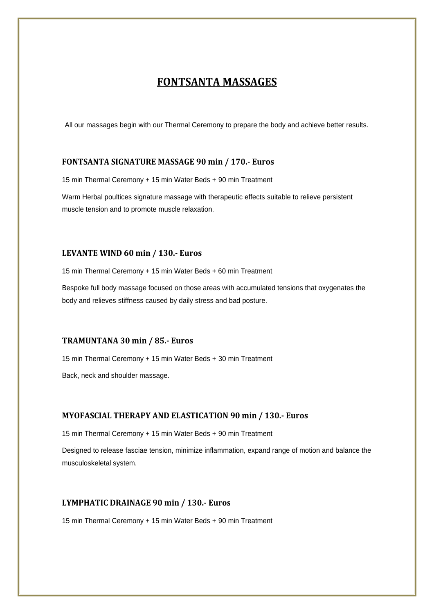## **FONTSANTA MASSAGES**

All our massages begin with our Thermal Ceremony to prepare the body and achieve better results.

#### **FONTSANTA SIGNATURE MASSAGE 90 min / 170.- Euros**

15 min Thermal Ceremony + 15 min Water Beds + 90 min Treatment

Warm Herbal poultices signature massage with therapeutic effects suitable to relieve persistent muscle tension and to promote muscle relaxation.

#### **LEVANTE WIND 60 min / 130.- Euros**

15 min Thermal Ceremony + 15 min Water Beds + 60 min Treatment

Bespoke full body massage focused on those areas with accumulated tensions that oxygenates the body and relieves stiffness caused by daily stress and bad posture.

#### **TRAMUNTANA 30 min / 85.- Euros**

15 min Thermal Ceremony + 15 min Water Beds + 30 min Treatment

Back, neck and shoulder massage.

#### **MYOFASCIAL THERAPY AND ELASTICATION 90 min / 130.- Euros**

15 min Thermal Ceremony + 15 min Water Beds + 90 min Treatment

Designed to release fasciae tension, minimize inflammation, expand range of motion and balance the musculoskeletal system.

#### **LYMPHATIC DRAINAGE 90 min / 130.- Euros**

15 min Thermal Ceremony + 15 min Water Beds + 90 min Treatment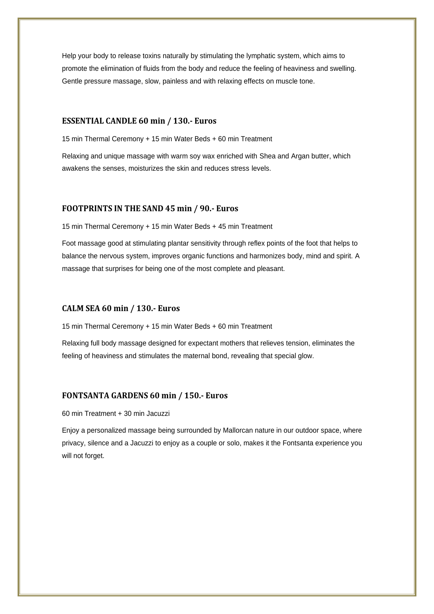Help your body to release toxins naturally by stimulating the lymphatic system, which aims to promote the elimination of fluids from the body and reduce the feeling of heaviness and swelling. Gentle pressure massage, slow, painless and with relaxing effects on muscle tone.

#### **ESSENTIAL CANDLE 60 min / 130.- Euros**

15 min Thermal Ceremony + 15 min Water Beds + 60 min Treatment

Relaxing and unique massage with warm soy wax enriched with Shea and Argan butter, which awakens the senses, moisturizes the skin and reduces stress levels.

#### **FOOTPRINTS IN THE SAND 45 min / 90.- Euros**

15 min Thermal Ceremony + 15 min Water Beds + 45 min Treatment

Foot massage good at stimulating plantar sensitivity through reflex points of the foot that helps to balance the nervous system, improves organic functions and harmonizes body, mind and spirit. A massage that surprises for being one of the most complete and pleasant.

#### **CALM SEA 60 min / 130.- Euros**

15 min Thermal Ceremony + 15 min Water Beds + 60 min Treatment

Relaxing full body massage designed for expectant mothers that relieves tension, eliminates the feeling of heaviness and stimulates the maternal bond, revealing that special glow.

#### **FONTSANTA GARDENS 60 min / 150.- Euros**

60 min Treatment + 30 min Jacuzzi

Enjoy a personalized massage being surrounded by Mallorcan nature in our outdoor space, where privacy, silence and a Jacuzzi to enjoy as a couple or solo, makes it the Fontsanta experience you will not forget.